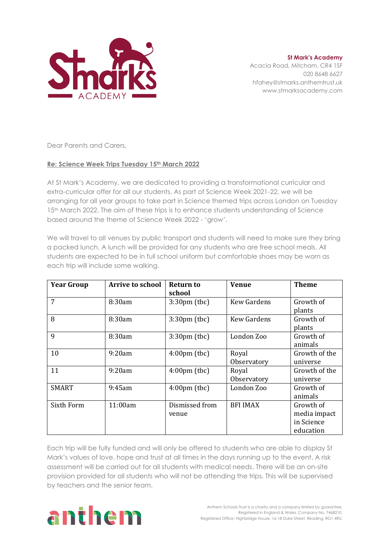

**St Mark's Academy** Acacia Road, Mitcham, CR4 1SF 020 8648 6627 hfahey@stmarks.anthemtrust.uk www.stmarksacademy.com

Dear Parents and Carers,

## **Re: Science Week Trips Tuesday 15th March 2022**

At St Mark's Academy, we are dedicated to providing a transformational curricular and extra-curricular offer for all our students. As part of Science Week 2021-22, we will be arranging for all year groups to take part in Science themed trips across London on Tuesday 15<sup>th</sup> March 2022. The aim of these trips is to enhance students understanding of Science based around the theme of Science Week 2022 - 'grow'.

We will travel to all venues by public transport and students will need to make sure they bring a packed lunch. A lunch will be provided for any students who are free school meals. All students are expected to be in full school uniform but comfortable shoes may be worn as each trip will include some walking.

| <b>Year Group</b> | <b>Arrive to school</b> | <b>Return to</b>                 | <b>Venue</b>         | <b>Theme</b>                                         |
|-------------------|-------------------------|----------------------------------|----------------------|------------------------------------------------------|
| 7                 | 8:30am                  | school<br>$3:30 \text{pm}$ (tbc) | <b>Kew Gardens</b>   | Growth of<br>plants                                  |
| 8                 | 8:30am                  | $3:30 \text{pm}$ (tbc)           | <b>Kew Gardens</b>   | Growth of<br>plants                                  |
| 9                 | 8:30am                  | $3:30 \text{pm}$ (tbc)           | London Zoo           | Growth of<br>animals                                 |
| 10                | 9:20am                  | $4:00 \text{pm}$ (tbc)           | Royal<br>Observatory | Growth of the<br>universe                            |
| 11                | 9:20am                  | $4:00 \text{pm}$ (tbc)           | Royal<br>Observatory | Growth of the<br>universe                            |
| <b>SMART</b>      | 9:45am                  | $4:00 \text{pm}$ (tbc)           | London Zoo           | Growth of<br>animals                                 |
| Sixth Form        | 11:00am                 | Dismissed from<br>venue          | <b>BFI IMAX</b>      | Growth of<br>media impact<br>in Science<br>education |

Each trip will be fully funded and will only be offered to students who are able to display St Mark's values of love, hope and trust at all times in the days running up to the event. A risk assessment will be carried out for all students with medical needs. There will be an on-site provision provided for all students who will not be attending the trips. This will be supervised by teachers and the senior team.